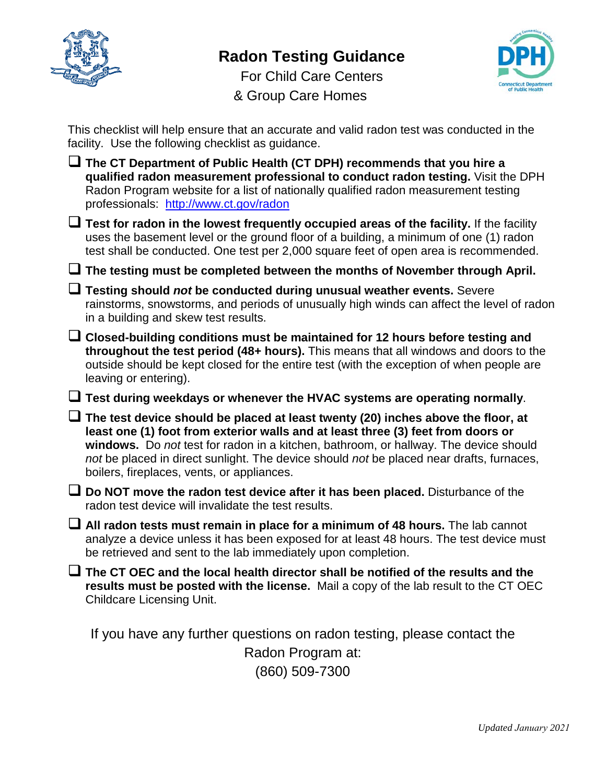

## **Radon Testing Guidance**



For Child Care Centers & Group Care Homes

This checklist will help ensure that an accurate and valid radon test was conducted in the facility. Use the following checklist as guidance.

 **The CT Department of Public Health (CT DPH) recommends that you hire a qualified radon measurement professional to conduct radon testing.** Visit the DPH Radon Program website for a list of nationally qualified radon measurement testing professionals: <http://www.ct.gov/radon> **Test for radon in the lowest frequently occupied areas of the facility.** If the facility uses the basement level or the ground floor of a building, a minimum of one (1) radon test shall be conducted. One test per 2,000 square feet of open area is recommended. **The testing must be completed between the months of November through April. Testing should** *not* **be conducted during unusual weather events.** Severe rainstorms, snowstorms, and periods of unusually high winds can affect the level of radon in a building and skew test results. **Closed-building conditions must be maintained for 12 hours before testing and throughout the test period (48+ hours).** This means that all windows and doors to the outside should be kept closed for the entire test (with the exception of when people are leaving or entering). **Test during weekdays or whenever the HVAC systems are operating normally**. **The test device should be placed at least twenty (20) inches above the floor, at least one (1) foot from exterior walls and at least three (3) feet from doors or windows.** Do *not* test for radon in a kitchen, bathroom, or hallway. The device should *not* be placed in direct sunlight. The device should *not* be placed near drafts, furnaces, boilers, fireplaces, vents, or appliances. **Do NOT move the radon test device after it has been placed.** Disturbance of the radon test device will invalidate the test results. **All radon tests must remain in place for a minimum of 48 hours.** The lab cannot analyze a device unless it has been exposed for at least 48 hours. The test device must be retrieved and sent to the lab immediately upon completion. **The CT OEC and the local health director shall be notified of the results and the results must be posted with the license.** Mail a copy of the lab result to the CT OEC Childcare Licensing Unit. If you have any further questions on radon testing, please contact the Radon Program at: (860) 509-7300